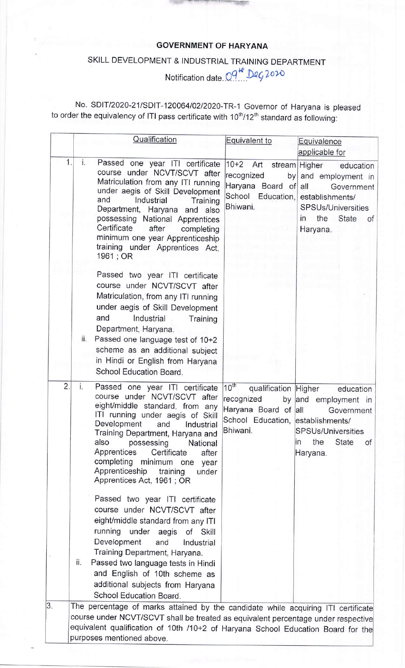## GOVERNMENT OF HARYANA

## SKILL DEVELOPMENT & INDUSTRIAL TRAINING DEPARTMENT

Notification date. O 9 He Deg2020

No. SDIT/2020-21/SDIT-120064/02/2020-TR-1 Governor of Haryana is pleased to order the equivalency of ITI pass certificate with 10 $^{\rm th}$ /12 $^{\rm th}$  standard as following:

|                  | Qualification                                                                                                                                                                                                                                                                                                                                                                                       | Equivalent to                                                                                                            | Equivalence                                                                                                                                 |
|------------------|-----------------------------------------------------------------------------------------------------------------------------------------------------------------------------------------------------------------------------------------------------------------------------------------------------------------------------------------------------------------------------------------------------|--------------------------------------------------------------------------------------------------------------------------|---------------------------------------------------------------------------------------------------------------------------------------------|
|                  |                                                                                                                                                                                                                                                                                                                                                                                                     |                                                                                                                          | applicable for                                                                                                                              |
| 1.               | i.<br>Passed one year ITI certificate<br>course under NCVT/SCVT after<br>Matriculation from any ITI running<br>under aegis of Skill Development<br>and<br>Industrial<br>Training<br>Department, Haryana and also<br>possessing National Apprentices<br>Certificate<br>after<br>completing<br>minimum one year Apprenticeship<br>training under Apprentices Act,<br>1961; OR                         | 10+2 Art stream Higher<br>recognized<br>Haryana Board of<br>School Education,<br>Bhiwani.                                | education<br>by and employment in<br>all<br>Government<br>establishments/<br><b>SPSUs/Universities</b><br>in the<br>State<br>of<br>Haryana. |
|                  | Passed two year ITI certificate<br>course under NCVT/SCVT after<br>Matriculation, from any ITI running<br>under aegis of Skill Development<br>and<br>Industrial<br>Training<br>Department, Haryana.<br>ii.<br>Passed one language test of 10+2<br>scheme as an additional subject<br>in Hindi or English from Haryana<br>School Education Board.                                                    |                                                                                                                          |                                                                                                                                             |
| $\overline{2}$ . | i.<br>Passed one year ITI certificate<br>course under NCVT/SCVT after<br>eight/middle standard, from any<br>ITI running under aegis of Skill<br>Development<br>Industrial<br>and<br>Training Department, Haryana and<br>also<br>possessing<br>National<br>Apprentices<br>Certificate<br>after<br>completing minimum one<br>year<br>Apprenticeship<br>training<br>under<br>Apprentices Act, 1961; OR | $10^{th}$<br>qualification Higher<br>recognized<br>Haryana Board of all<br>School Education, establishments/<br>Bhiwani. | education<br>by and employment in<br>Government<br>SPSUs/Universities<br>the<br>State<br>In<br>of<br>Haryana.                               |
|                  | Passed two year ITI certificate<br>course under NCVT/SCVT after<br>eight/middle standard from any ITI<br>running<br>under aegis<br>of Skill<br>Development<br>and<br>Industrial<br>Training Department, Haryana.<br>ii.<br>Passed two language tests in Hindi<br>and English of 10th scheme as<br>additional subjects from Haryana<br>School Education Board.                                       |                                                                                                                          |                                                                                                                                             |
| 3.               | The percentage of marks attained by the candidate while acquiring ITI certificate<br>course under NCVT/SCVT shall be treated as equivalent percentage under respective<br>equivalent qualification of 10th /10+2 of Haryana School Education Board for the<br>purposes mentioned above.                                                                                                             |                                                                                                                          |                                                                                                                                             |